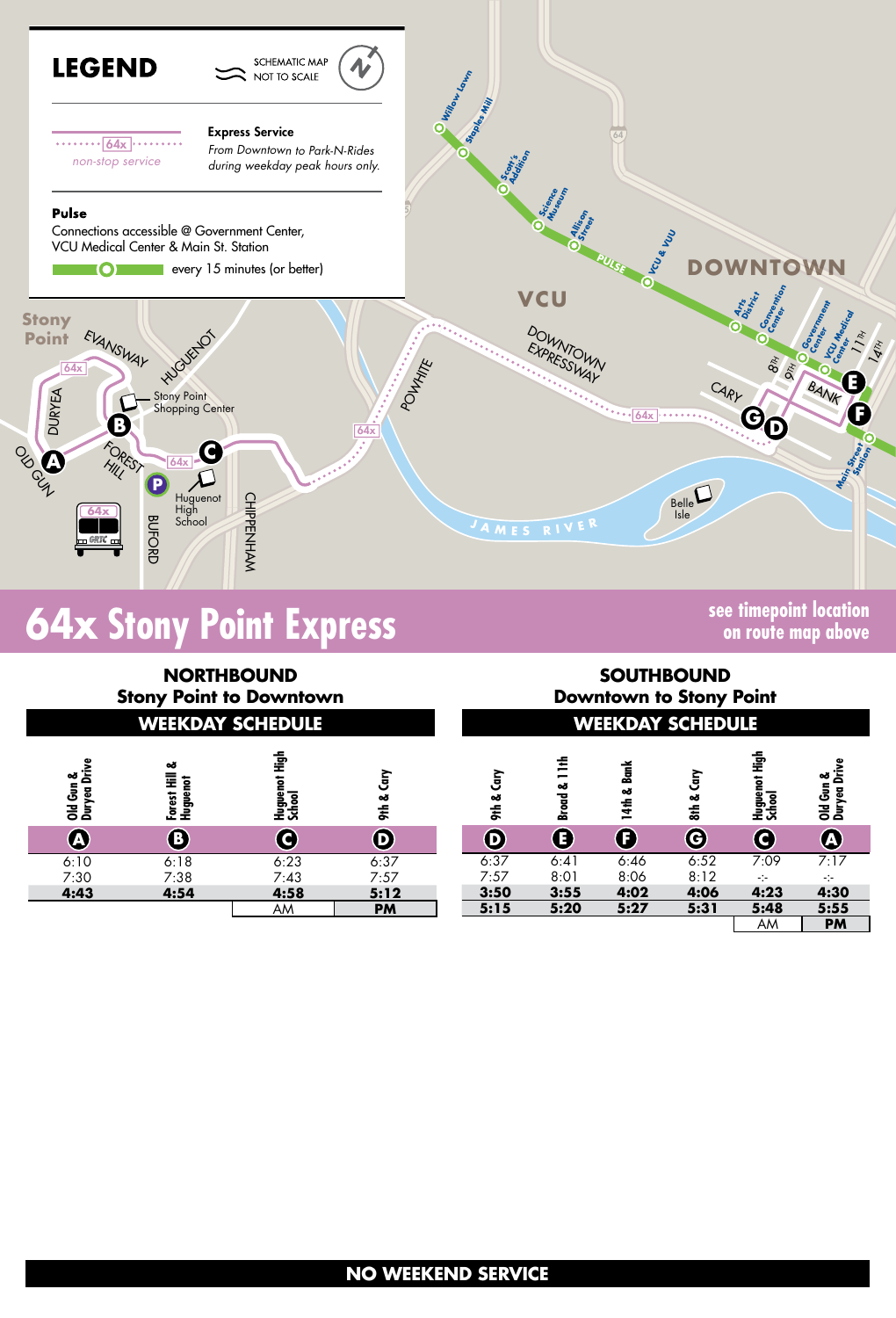

# **64x Stony Point Express Stong Community See timepoint location**

**on route map above**

| <b>NORTHBOUND</b><br><b>Stony Point to Downtown</b><br><b>WEEKDAY SCHEDULE</b> |                                     |                                 |                           | <b>SOUTHBOUND</b><br><b>Downtown to Stony Point</b><br><b>WEEKDAY SCHEDULE</b> |                      |                |               |                                 |                                   |
|--------------------------------------------------------------------------------|-------------------------------------|---------------------------------|---------------------------|--------------------------------------------------------------------------------|----------------------|----------------|---------------|---------------------------------|-----------------------------------|
| Old Gun &<br>Duryea Drive                                                      | ఱ<br>Ē<br><b>Huguenot</b><br>Forest | ា<br>មិ<br>Huguenot I<br>School | Ğ<br>ಹ<br><b>atio</b>     | Čery<br>ಹ<br><b>atio</b>                                                       | ≛<br>-<br>ఱ<br>Broad | Bank<br>14th & | Čary<br>Sth & | ា<br>អូ<br>Huguenot I<br>School | Drive<br>ఱ<br>Old Gun<br>Duryea L |
| $\mathbf \Omega$                                                               | ®                                   | C                               | $\left(\mathbf{D}\right)$ | $\left(\mathbf{D}\right)$                                                      | E)                   | Œ              | G             | C)                              | <b>A</b>                          |
| 6:10                                                                           | 6:18                                | 6:23                            | 6:37                      | 6:37                                                                           | 6:41                 | 6:46           | 6:52          | 7:09                            | 7:17                              |
| 7:30                                                                           | 7:38                                | 7:43                            | 7:57                      | 7:57                                                                           | 8:01                 | 8:06           | 8:12          | $-1$                            | ÷                                 |
| 4:43                                                                           | 4:54                                | 4:58                            | 5:12                      | 3:50                                                                           | 3:55                 | 4:02           | 4:06          | 4:23                            | 4:30                              |
|                                                                                |                                     | AM                              | <b>PM</b>                 | 5:15                                                                           | 5:20                 | 5:27           | 5:31          | 5:48                            | 5:55                              |
|                                                                                |                                     |                                 |                           |                                                                                |                      |                |               | AM                              | <b>PM</b>                         |